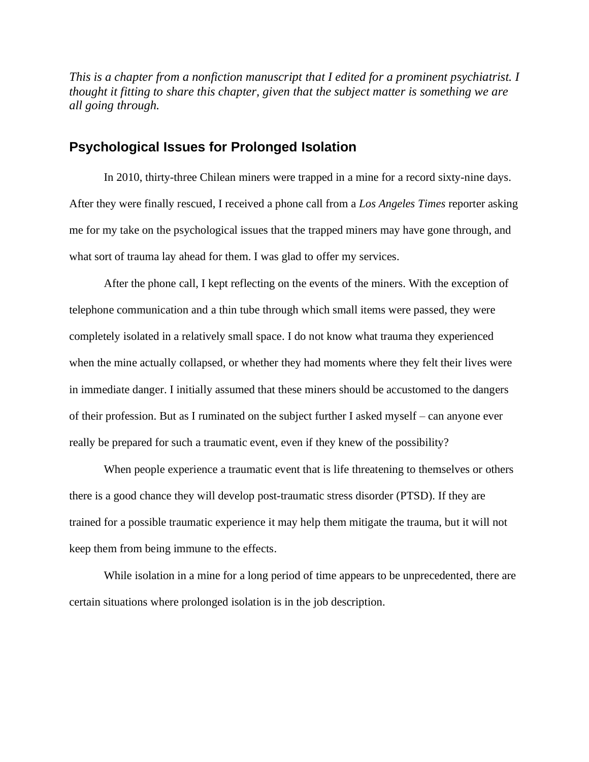*This is a chapter from a nonfiction manuscript that I edited for a prominent psychiatrist. I thought it fitting to share this chapter, given that the subject matter is something we are all going through.*

# **Psychological Issues for Prolonged Isolation**

In 2010, thirty-three Chilean miners were trapped in a mine for a record sixty-nine days. After they were finally rescued, I received a phone call from a *Los Angeles Times* reporter asking me for my take on the psychological issues that the trapped miners may have gone through, and what sort of trauma lay ahead for them. I was glad to offer my services.

After the phone call, I kept reflecting on the events of the miners. With the exception of telephone communication and a thin tube through which small items were passed, they were completely isolated in a relatively small space. I do not know what trauma they experienced when the mine actually collapsed, or whether they had moments where they felt their lives were in immediate danger. I initially assumed that these miners should be accustomed to the dangers of their profession. But as I ruminated on the subject further I asked myself – can anyone ever really be prepared for such a traumatic event, even if they knew of the possibility?

When people experience a traumatic event that is life threatening to themselves or others there is a good chance they will develop post-traumatic stress disorder (PTSD). If they are trained for a possible traumatic experience it may help them mitigate the trauma, but it will not keep them from being immune to the effects.

While isolation in a mine for a long period of time appears to be unprecedented, there are certain situations where prolonged isolation is in the job description.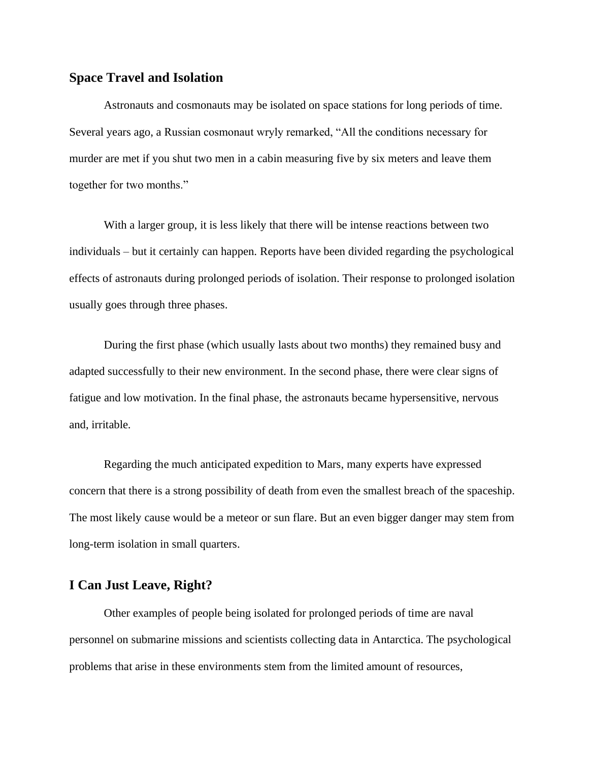## **Space Travel and Isolation**

Astronauts and cosmonauts may be isolated on space stations for long periods of time. Several years ago, a Russian cosmonaut wryly remarked, "All the conditions necessary for murder are met if you shut two men in a cabin measuring five by six meters and leave them together for two months."

With a larger group, it is less likely that there will be intense reactions between two individuals – but it certainly can happen. Reports have been divided regarding the psychological effects of astronauts during prolonged periods of isolation. Their response to prolonged isolation usually goes through three phases.

During the first phase (which usually lasts about two months) they remained busy and adapted successfully to their new environment. In the second phase, there were clear signs of fatigue and low motivation. In the final phase, the astronauts became hypersensitive, nervous and, irritable.

Regarding the much anticipated expedition to Mars, many experts have expressed concern that there is a strong possibility of death from even the smallest breach of the spaceship. The most likely cause would be a meteor or sun flare. But an even bigger danger may stem from long-term isolation in small quarters.

# **I Can Just Leave, Right?**

Other examples of people being isolated for prolonged periods of time are naval personnel on submarine missions and scientists collecting data in Antarctica. The psychological problems that arise in these environments stem from the limited amount of resources,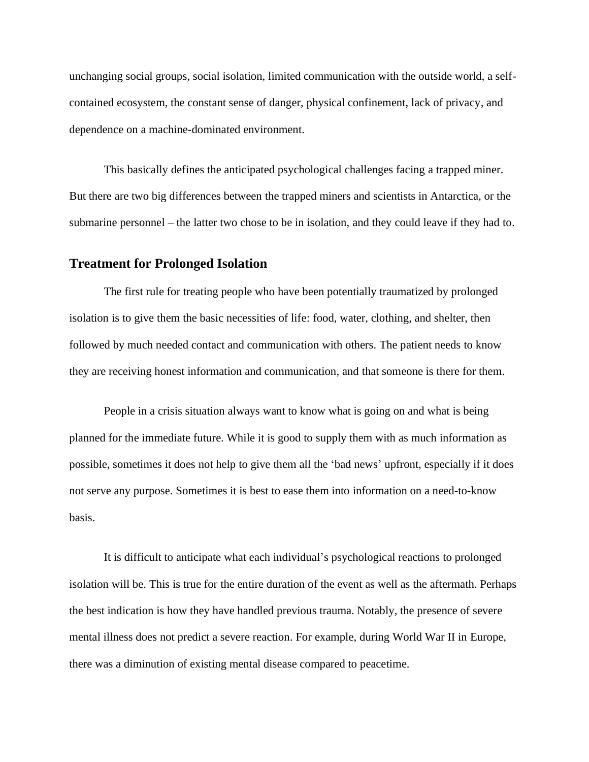unchanging social groups, social isolation, limited communication with the outside world, a selfcontained ecosystem, the constant sense of danger, physical confinement, lack of privacy, and dependence on a machine-dominated environment.

This basically defines the anticipated psychological challenges facing a trapped miner. But there are two big differences between the trapped miners and scientists in Antarctica, or the submarine personnel – the latter two chose to be in isolation, and they could leave if they had to.

### **Treatment for Prolonged Isolation**

The first rule for treating people who have been potentially traumatized by prolonged isolation is to give them the basic necessities of life: food, water, clothing, and shelter, then followed by much needed contact and communication with others. The patient needs to know they are receiving honest information and communication, and that someone is there for them.

People in a crisis situation always want to know what is going on and what is being planned for the immediate future. While it is good to supply them with as much information as possible, sometimes it does not help to give them all the 'bad news' upfront, especially if it does not serve any purpose. Sometimes it is best to ease them into information on a need-to-know basis.

It is difficult to anticipate what each individual's psychological reactions to prolonged isolation will be. This is true for the entire duration of the event as well as the aftermath. Perhaps the best indication is how they have handled previous trauma. Notably, the presence of severe mental illness does not predict a severe reaction. For example, during World War II in Europe, there was a diminution of existing mental disease compared to peacetime.